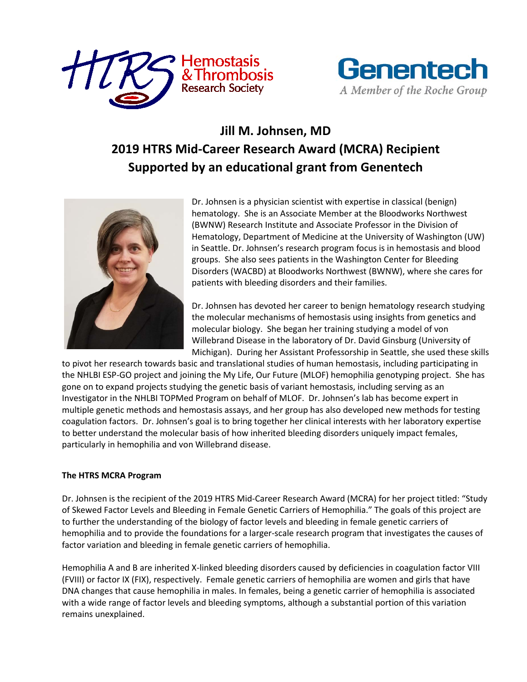



## **Jill M. Johnsen, MD 2019 HTRS Mid-Career Research Award (MCRA) Recipient Supported by an educational grant from Genentech**



Dr. Johnsen is a physician scientist with expertise in classical (benign) hematology. She is an Associate Member at the Bloodworks Northwest (BWNW) Research Institute and Associate Professor in the Division of Hematology, Department of Medicine at the University of Washington (UW) in Seattle. Dr. Johnsen's research program focus is in hemostasis and blood groups. She also sees patients in the Washington Center for Bleeding Disorders (WACBD) at Bloodworks Northwest (BWNW), where she cares for patients with bleeding disorders and their families.

Dr. Johnsen has devoted her career to benign hematology research studying the molecular mechanisms of hemostasis using insights from genetics and molecular biology. She began her training studying a model of von Willebrand Disease in the laboratory of Dr. David Ginsburg (University of Michigan). During her Assistant Professorship in Seattle, she used these skills

to pivot her research towards basic and translational studies of human hemostasis, including participating in the NHLBI ESP-GO project and joining the My Life, Our Future (MLOF) hemophilia genotyping project. She has gone on to expand projects studying the genetic basis of variant hemostasis, including serving as an Investigator in the NHLBI TOPMed Program on behalf of MLOF. Dr. Johnsen's lab has become expert in multiple genetic methods and hemostasis assays, and her group has also developed new methods for testing coagulation factors. Dr. Johnsen's goal is to bring together her clinical interests with her laboratory expertise to better understand the molecular basis of how inherited bleeding disorders uniquely impact females, particularly in hemophilia and von Willebrand disease.

## **The HTRS MCRA Program**

Dr. Johnsen is the recipient of the 2019 HTRS Mid-Career Research Award (MCRA) for her project titled: "Study of Skewed Factor Levels and Bleeding in Female Genetic Carriers of Hemophilia." The goals of this project are to further the understanding of the biology of factor levels and bleeding in female genetic carriers of hemophilia and to provide the foundations for a larger-scale research program that investigates the causes of factor variation and bleeding in female genetic carriers of hemophilia.

Hemophilia A and B are inherited X-linked bleeding disorders caused by deficiencies in coagulation factor VIII (FVIII) or factor IX (FIX), respectively. Female genetic carriers of hemophilia are women and girls that have DNA changes that cause hemophilia in males. In females, being a genetic carrier of hemophilia is associated with a wide range of factor levels and bleeding symptoms, although a substantial portion of this variation remains unexplained.